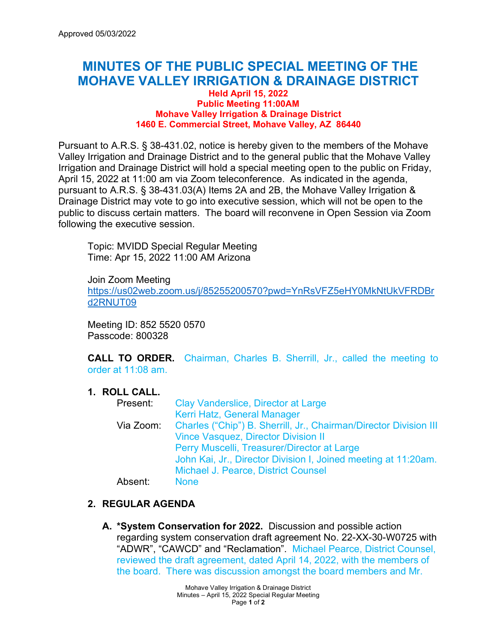## **MINUTES OF THE PUBLIC SPECIAL MEETING OF THE MOHAVE VALLEY IRRIGATION & DRAINAGE DISTRICT**

## **Held April 15, 2022 Public Meeting 11:00AM Mohave Valley Irrigation & Drainage District 1460 E. Commercial Street, Mohave Valley, AZ 86440**

Pursuant to A.R.S. § 38-431.02, notice is hereby given to the members of the Mohave Valley Irrigation and Drainage District and to the general public that the Mohave Valley Irrigation and Drainage District will hold a special meeting open to the public on Friday, April 15, 2022 at 11:00 am via Zoom teleconference. As indicated in the agenda, pursuant to A.R.S. § 38-431.03(A) Items 2A and 2B, the Mohave Valley Irrigation & Drainage District may vote to go into executive session, which will not be open to the public to discuss certain matters. The board will reconvene in Open Session via Zoom following the executive session.

Topic: MVIDD Special Regular Meeting Time: Apr 15, 2022 11:00 AM Arizona

Join Zoom Meeting [https://us02web.zoom.us/j/85255200570?pwd=YnRsVFZ5eHY0MkNtUkVFRDBr](https://us02web.zoom.us/j/85255200570?pwd=YnRsVFZ5eHY0MkNtUkVFRDBrd2RNUT09) [d2RNUT09](https://us02web.zoom.us/j/85255200570?pwd=YnRsVFZ5eHY0MkNtUkVFRDBrd2RNUT09)

Meeting ID: 852 5520 0570 Passcode: 800328

**CALL TO ORDER.** Chairman, Charles B. Sherrill, Jr., called the meeting to order at 11:08 am.

## **1. ROLL CALL.**

| Present:  | Clay Vanderslice, Director at Large                               |
|-----------|-------------------------------------------------------------------|
|           | Kerri Hatz, General Manager                                       |
| Via Zoom: | Charles ("Chip") B. Sherrill, Jr., Chairman/Director Division III |
|           | <b>Vince Vasquez, Director Division II</b>                        |
|           | Perry Muscelli, Treasurer/Director at Large                       |
|           | John Kai, Jr., Director Division I, Joined meeting at 11:20am.    |
|           | <b>Michael J. Pearce, District Counsel</b>                        |
| Absent:   | <b>None</b>                                                       |

## **2. REGULAR AGENDA**

**A. \*System Conservation for 2022.** Discussion and possible action regarding system conservation draft agreement No. 22-XX-30-W0725 with "ADWR", "CAWCD" and "Reclamation". Michael Pearce, District Counsel, reviewed the draft agreement, dated April 14, 2022, with the members of the board. There was discussion amongst the board members and Mr.